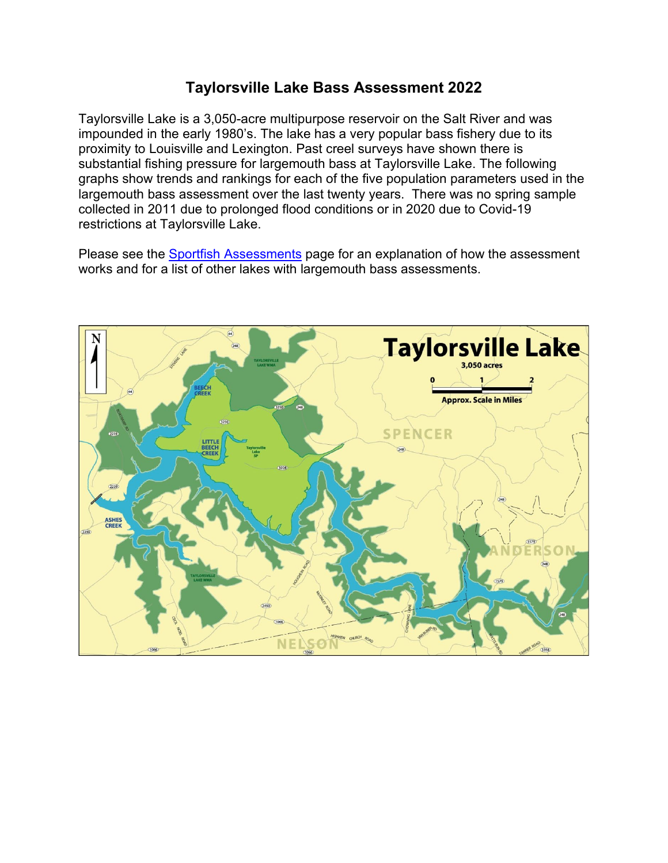## **Taylorsville Lake Bass Assessment 2022**

Taylorsville Lake is a 3,050-acre multipurpose reservoir on the Salt River and was impounded in the early 1980's. The lake has a very popular bass fishery due to its proximity to Louisville and Lexington. Past creel surveys have shown there is substantial fishing pressure for largemouth bass at Taylorsville Lake. The following graphs show trends and rankings for each of the five population parameters used in the largemouth bass assessment over the last twenty years. There was no spring sample collected in 2011 due to prolonged flood conditions or in 2020 due to Covid-19 restrictions at Taylorsville Lake.

Please see the [Sportfish Assessments](http://fw.ky.gov/Fish/Pages/Sportfish-Assessments.aspx) page for an explanation of how the assessment works and for a list of other lakes with largemouth bass assessments.

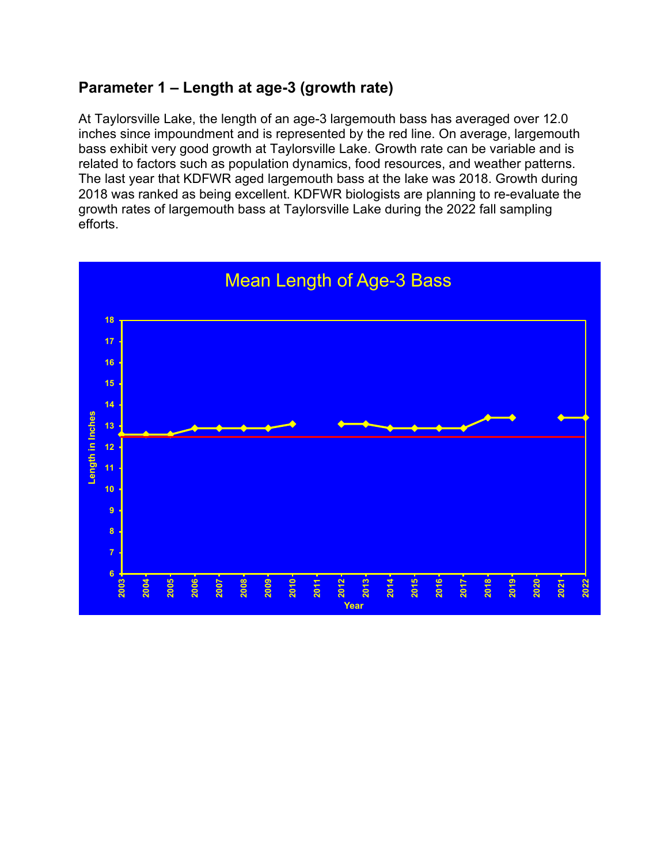# **Parameter 1 – Length at age-3 (growth rate)**

At Taylorsville Lake, the length of an age-3 largemouth bass has averaged over 12.0 inches since impoundment and is represented by the red line. On average, largemouth bass exhibit very good growth at Taylorsville Lake. Growth rate can be variable and is related to factors such as population dynamics, food resources, and weather patterns. The last year that KDFWR aged largemouth bass at the lake was 2018. Growth during 2018 was ranked as being excellent. KDFWR biologists are planning to re-evaluate the growth rates of largemouth bass at Taylorsville Lake during the 2022 fall sampling efforts.

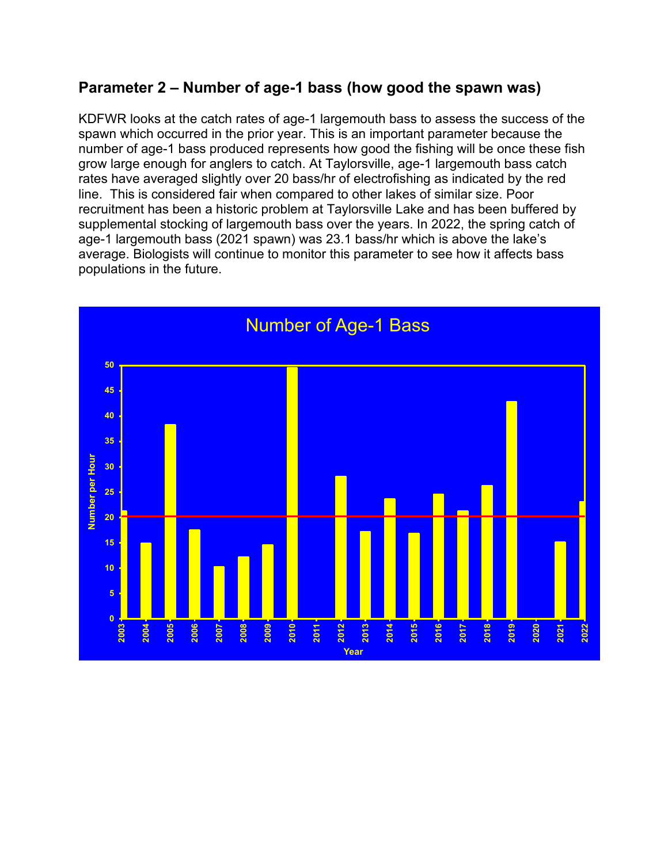## **Parameter 2 – Number of age-1 bass (how good the spawn was)**

KDFWR looks at the catch rates of age-1 largemouth bass to assess the success of the spawn which occurred in the prior year. This is an important parameter because the number of age-1 bass produced represents how good the fishing will be once these fish grow large enough for anglers to catch. At Taylorsville, age-1 largemouth bass catch rates have averaged slightly over 20 bass/hr of electrofishing as indicated by the red line. This is considered fair when compared to other lakes of similar size. Poor recruitment has been a historic problem at Taylorsville Lake and has been buffered by supplemental stocking of largemouth bass over the years. In 2022, the spring catch of age-1 largemouth bass (2021 spawn) was 23.1 bass/hr which is above the lake's average. Biologists will continue to monitor this parameter to see how it affects bass populations in the future.

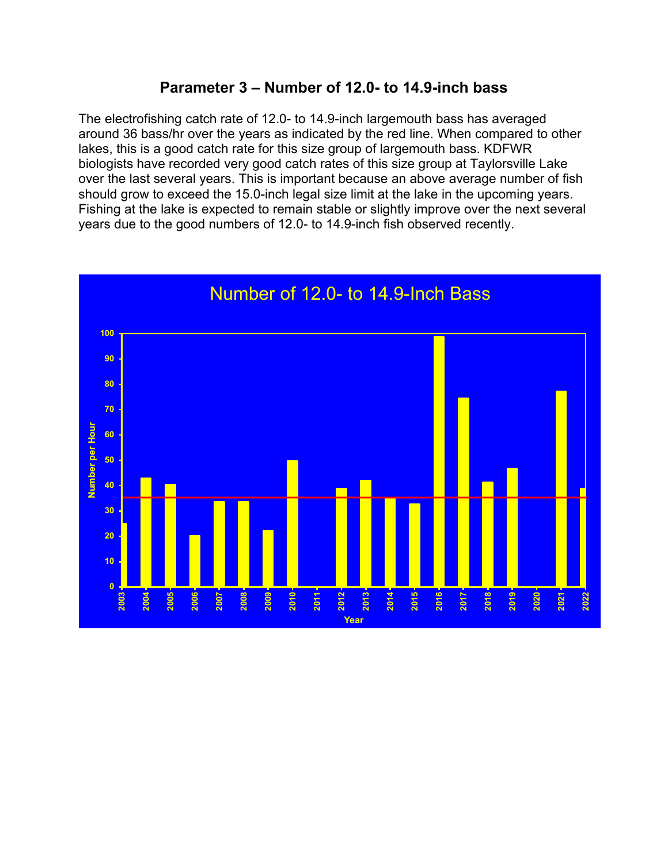# **Parameter 3 – Number of 12.0- to 14.9-inch bass**

The electrofishing catch rate of 12.0- to 14.9-inch largemouth bass has averaged around 36 bass/hr over the years as indicated by the red line. When compared to other lakes, this is a good catch rate for this size group of largemouth bass. KDFWR biologists have recorded very good catch rates of this size group at Taylorsville Lake over the last several years. This is important because an above average number of fish should grow to exceed the 15.0-inch legal size limit at the lake in the upcoming years. Fishing at the lake is expected to remain stable or slightly improve over the next several years due to the good numbers of 12.0- to 14.9-inch fish observed recently.

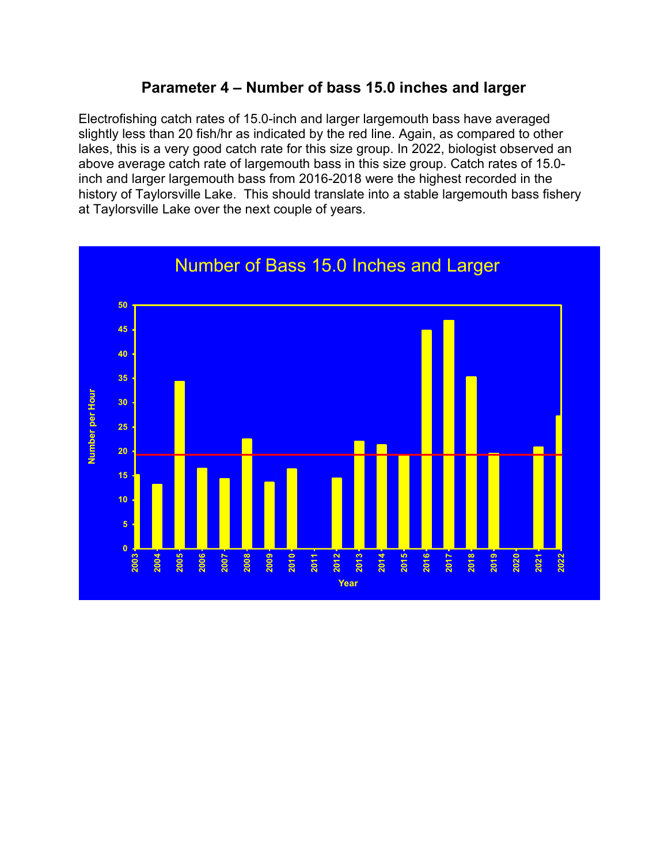# **Parameter 4 – Number of bass 15.0 inches and larger**

Electrofishing catch rates of 15.0-inch and larger largemouth bass have averaged slightly less than 20 fish/hr as indicated by the red line. Again, as compared to other lakes, this is a very good catch rate for this size group. In 2022, biologist observed an above average catch rate of largemouth bass in this size group. Catch rates of 15.0 inch and larger largemouth bass from 2016-2018 were the highest recorded in the history of Taylorsville Lake. This should translate into a stable largemouth bass fishery at Taylorsville Lake over the next couple of years.

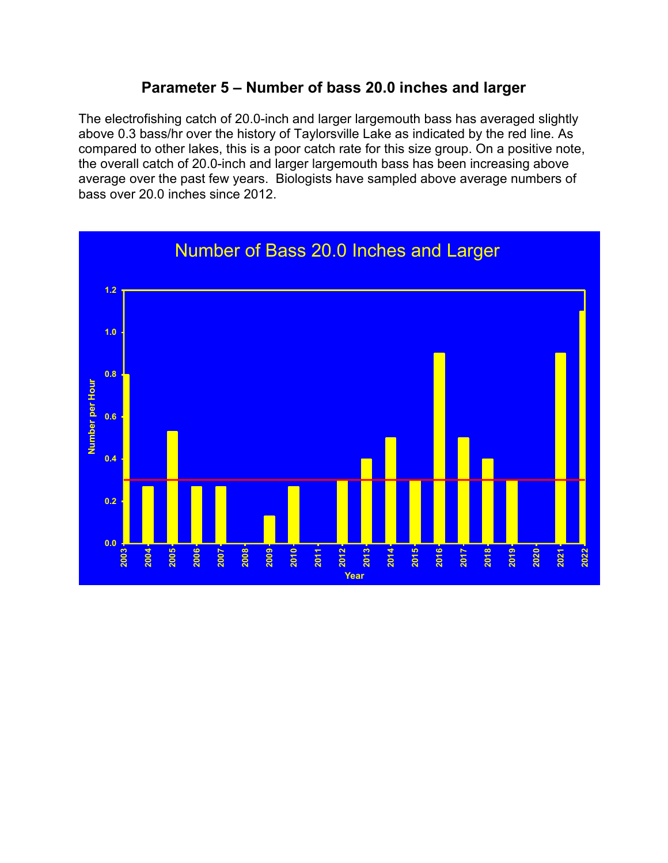## **Parameter 5 – Number of bass 20.0 inches and larger**

The electrofishing catch of 20.0-inch and larger largemouth bass has averaged slightly above 0.3 bass/hr over the history of Taylorsville Lake as indicated by the red line. As compared to other lakes, this is a poor catch rate for this size group. On a positive note, the overall catch of 20.0-inch and larger largemouth bass has been increasing above average over the past few years. Biologists have sampled above average numbers of bass over 20.0 inches since 2012.